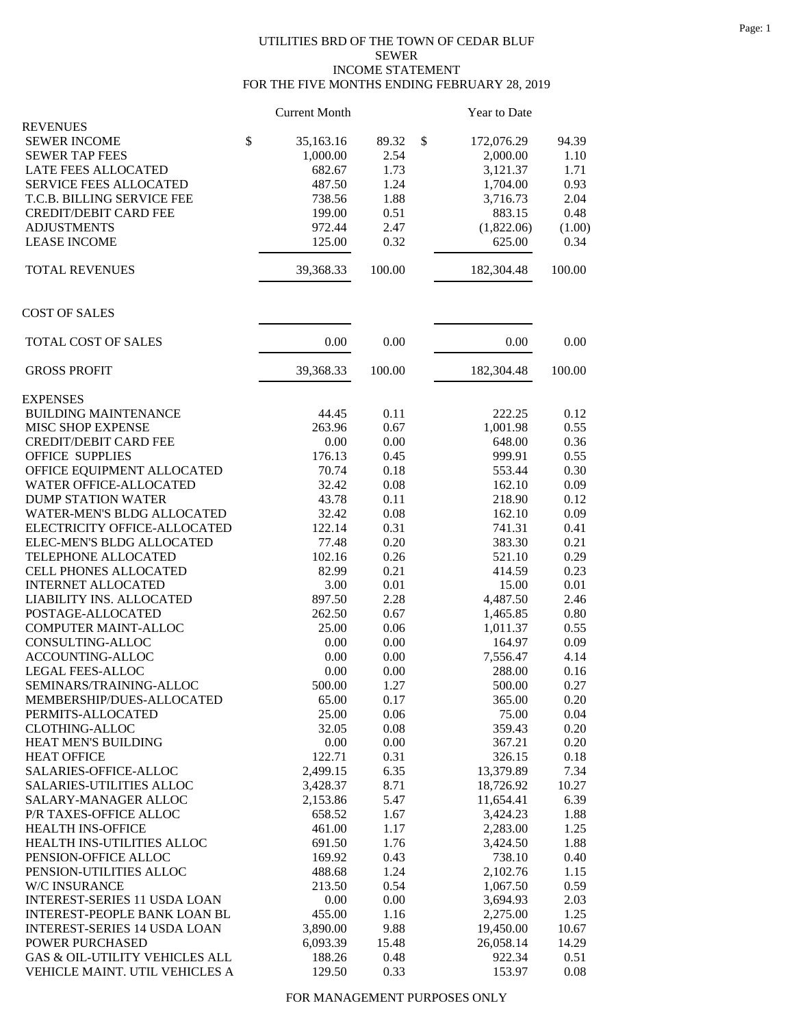## UTILITIES BRD OF THE TOWN OF CEDAR BLUF SEWER INCOME STATEMENT FOR THE FIVE MONTHS ENDING FEBRUARY 28, 2019

|                                     | <b>Current Month</b> |        | Year to Date     |        |
|-------------------------------------|----------------------|--------|------------------|--------|
| <b>REVENUES</b>                     |                      |        |                  |        |
| <b>SEWER INCOME</b>                 | \$<br>35,163.16      | 89.32  | \$<br>172,076.29 | 94.39  |
| <b>SEWER TAP FEES</b>               | 1,000.00             | 2.54   | 2,000.00         | 1.10   |
| LATE FEES ALLOCATED                 | 682.67               | 1.73   | 3,121.37         | 1.71   |
| <b>SERVICE FEES ALLOCATED</b>       | 487.50               | 1.24   | 1,704.00         | 0.93   |
| T.C.B. BILLING SERVICE FEE          | 738.56               | 1.88   | 3,716.73         | 2.04   |
| <b>CREDIT/DEBIT CARD FEE</b>        | 199.00               | 0.51   | 883.15           | 0.48   |
| <b>ADJUSTMENTS</b>                  | 972.44               | 2.47   | (1,822.06)       | (1.00) |
| <b>LEASE INCOME</b>                 | 125.00               | 0.32   | 625.00           | 0.34   |
| <b>TOTAL REVENUES</b>               | 39,368.33            | 100.00 | 182,304.48       | 100.00 |
| <b>COST OF SALES</b>                |                      |        |                  |        |
| TOTAL COST OF SALES                 | 0.00                 | 0.00   | 0.00             | 0.00   |
| <b>GROSS PROFIT</b>                 | 39,368.33            | 100.00 | 182,304.48       | 100.00 |
| <b>EXPENSES</b>                     |                      |        |                  |        |
| <b>BUILDING MAINTENANCE</b>         | 44.45                | 0.11   | 222.25           | 0.12   |
| MISC SHOP EXPENSE                   | 263.96               | 0.67   | 1,001.98         | 0.55   |
| <b>CREDIT/DEBIT CARD FEE</b>        | 0.00                 | 0.00   | 648.00           | 0.36   |
| <b>OFFICE SUPPLIES</b>              | 176.13               | 0.45   | 999.91           | 0.55   |
| OFFICE EQUIPMENT ALLOCATED          | 70.74                | 0.18   | 553.44           | 0.30   |
| WATER OFFICE-ALLOCATED              | 32.42                | 0.08   | 162.10           | 0.09   |
| <b>DUMP STATION WATER</b>           | 43.78                | 0.11   | 218.90           | 0.12   |
| <b>WATER-MEN'S BLDG ALLOCATED</b>   | 32.42                | 0.08   | 162.10           | 0.09   |
| ELECTRICITY OFFICE-ALLOCATED        | 122.14               | 0.31   | 741.31           | 0.41   |
| ELEC-MEN'S BLDG ALLOCATED           | 77.48                | 0.20   | 383.30           | 0.21   |
| TELEPHONE ALLOCATED                 | 102.16               | 0.26   | 521.10           | 0.29   |
| CELL PHONES ALLOCATED               | 82.99                | 0.21   | 414.59           | 0.23   |
| <b>INTERNET ALLOCATED</b>           | 3.00                 | 0.01   | 15.00            | 0.01   |
| LIABILITY INS. ALLOCATED            | 897.50               | 2.28   | 4,487.50         | 2.46   |
| POSTAGE-ALLOCATED                   | 262.50               | 0.67   | 1,465.85         | 0.80   |
| COMPUTER MAINT-ALLOC                | 25.00                | 0.06   | 1,011.37         | 0.55   |
| CONSULTING-ALLOC                    | 0.00                 | 0.00   | 164.97           | 0.09   |
| ACCOUNTING-ALLOC                    | 0.00                 | 0.00   | 7,556.47         | 4.14   |
| LEGAL FEES-ALLOC                    | 0.00                 | 0.00   | 288.00           | 0.16   |
| SEMINARS/TRAINING-ALLOC             | 500.00               | 1.27   | 500.00           | 0.27   |
| MEMBERSHIP/DUES-ALLOCATED           | 65.00                | 0.17   | 365.00           | 0.20   |
| PERMITS-ALLOCATED                   | 25.00                | 0.06   | 75.00            | 0.04   |
| <b>CLOTHING-ALLOC</b>               | 32.05                | 0.08   | 359.43           | 0.20   |
| HEAT MEN'S BUILDING                 | 0.00                 | 0.00   | 367.21           | 0.20   |
| <b>HEAT OFFICE</b>                  | 122.71               | 0.31   | 326.15           | 0.18   |
| SALARIES-OFFICE-ALLOC               | 2,499.15             | 6.35   | 13,379.89        | 7.34   |
| <b>SALARIES-UTILITIES ALLOC</b>     | 3,428.37             | 8.71   | 18,726.92        | 10.27  |
| SALARY-MANAGER ALLOC                | 2,153.86             | 5.47   | 11,654.41        | 6.39   |
| P/R TAXES-OFFICE ALLOC              | 658.52               | 1.67   | 3,424.23         | 1.88   |
| HEALTH INS-OFFICE                   | 461.00               | 1.17   | 2,283.00         | 1.25   |
| HEALTH INS-UTILITIES ALLOC          | 691.50               | 1.76   | 3,424.50         | 1.88   |
| PENSION-OFFICE ALLOC                | 169.92               | 0.43   | 738.10           | 0.40   |
| PENSION-UTILITIES ALLOC             | 488.68               | 1.24   | 2,102.76         | 1.15   |
| W/C INSURANCE                       | 213.50               | 0.54   | 1,067.50         | 0.59   |
| <b>INTEREST-SERIES 11 USDA LOAN</b> | 0.00                 | 0.00   | 3,694.93         | 2.03   |
| INTEREST-PEOPLE BANK LOAN BL        | 455.00               | 1.16   | 2,275.00         | 1.25   |
| <b>INTEREST-SERIES 14 USDA LOAN</b> | 3,890.00             | 9.88   | 19,450.00        | 10.67  |
| POWER PURCHASED                     | 6,093.39             | 15.48  | 26,058.14        | 14.29  |
| GAS & OIL-UTILITY VEHICLES ALL      | 188.26               | 0.48   | 922.34           | 0.51   |
| VEHICLE MAINT. UTIL VEHICLES A      | 129.50               | 0.33   | 153.97           | 0.08   |

FOR MANAGEMENT PURPOSES ONLY